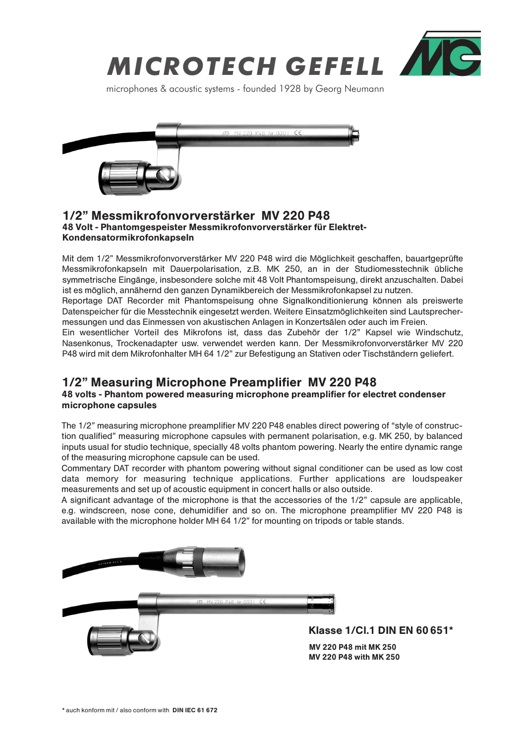

microphones & acoustic systems - founded 1928 by Georg Neumann



### 48 Volt - Phantomgespeister Messmikrofonvorverstärker für Elektret-Kondensatormikrofonkapseln 1/2" Messmikrofonvorverstärker MV 220 P48

Mit dem 1/2" Messmikrofonvorverstärker MV 220 P48 wird die Möglichkeit geschaffen, bauartgeprüfte Messmikrofonkapseln mit Dauerpolarisation, z.B. MK 250, an in der Studiomesstechnik übliche symmetrische Eingänge, insbesondere solche mit 48 Volt Phantomspeisung, direkt anzuschalten. Dabei ist es möglich, annähernd den ganzen Dynamikbereich der Messmikrofonkapsel zu nutzen.

Reportage DAT Recorder mit Phantomspeisung ohne Signalkonditionierung können als preiswerte Datenspeicher für die Messtechnik eingesetzt werden. Weitere Einsatzmöglichkeiten sind Lautsprechermessungen und das Einmessen von akustischen Anlagen in Konzertsälen oder auch im Freien.

Ein wesentlicher Vorteil des Mikrofons ist, dass das Zubehör der 1/2" Kapsel wie Windschutz, Nasenkonus, Trockenadapter usw. verwendet werden kann. Der Messmikrofonvorverstärker MV 220 P48 wird mit dem Mikrofonhalter MH 64 1/2" zur Befestigung an Stativen oder Tischständern geliefert.

# 1/2" Measuring Microphone Preamplifier MV 220 P48

#### 48 volts - Phantom powered measuring microphone preamplifier for electret condenser microphone capsules

The 1/2" measuring microphone preamplifier MV 220 P48 enables direct powering of "style of construction qualified" measuring microphone capsules with permanent polarisation, e.g. MK 250, by balanced inputs usual for studio technique, specially 48 volts phantom powering. Nearly the entire dynamic range of the measuring microphone capsule can be used.

Commentary DAT recorder with phantom powering without signal conditioner can be used as low cost data memory for measuring technique applications. Further applications are loudspeaker measurements and set up of acoustic equipment in concert halls or also outside.

A significant advantage of the microphone is that the accessories of the 1/2" capsule are applicable, e.g. windscreen, nose cone, dehumidifier and so on. The microphone preamplifier MV 220 P48 is available with the microphone holder MH 64 1/2" for mounting on tripods or table stands.